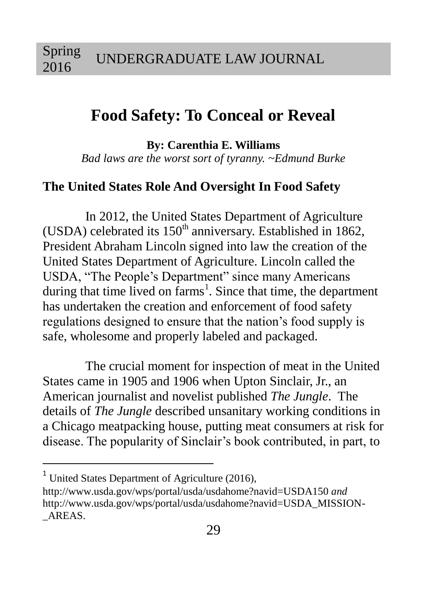# **Food Safety: To Conceal or Reveal**

**By: Carenthia E. Williams**

*Bad laws are the worst sort of tyranny. ~Edmund Burke*

### **The United States Role And Oversight In Food Safety**

In 2012, the United States Department of Agriculture (USDA) celebrated its  $150<sup>th</sup>$  anniversary. Established in 1862, President Abraham Lincoln signed into law the creation of the United States Department of Agriculture. Lincoln called the USDA, "The People's Department" since many Americans during that time lived on farms<sup>1</sup>. Since that time, the department has undertaken the creation and enforcement of food safety regulations designed to ensure that the nation's food supply is safe, wholesome and properly labeled and packaged.

The crucial moment for inspection of meat in the United States came in 1905 and 1906 when Upton Sinclair, Jr., an American journalist and novelist published *The Jungle*. The details of *The Jungle* described unsanitary working conditions in a Chicago meatpacking house, putting meat consumers at risk for disease. The popularity of Sinclair's book contributed, in part, to

 $1$  United States Department of Agriculture (2016),

http://www.usda.gov/wps/portal/usda/usdahome?navid=USDA150 *and*  http://www.usda.gov/wps/portal/usda/usdahome?navid=USDA\_MISSION- \_AREAS.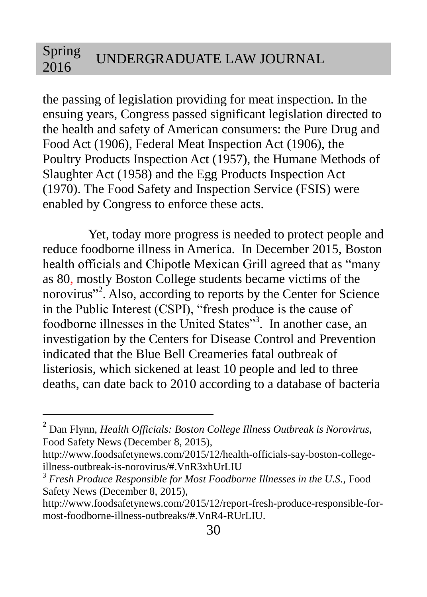the passing of legislation providing for meat inspection. In the ensuing years, Congress passed significant legislation directed to the health and safety of American consumers: the Pure Drug and Food Act (1906), Federal Meat Inspection Act (1906), the Poultry Products Inspection Act (1957), the Humane Methods of Slaughter Act (1958) and the Egg Products Inspection Act (1970). The Food Safety and Inspection Service (FSIS) were enabled by Congress to enforce these acts.

Yet, today more progress is needed to protect people and reduce foodborne illness in America. In December 2015, Boston health officials and Chipotle Mexican Grill agreed that as "many as 80, mostly Boston College students became victims of the norovirus"<sup>2</sup>. Also, according to reports by the Center for Science in the Public Interest (CSPI), "fresh produce is the cause of foodborne illnesses in the United States"<sup>3</sup>. In another case, an investigation by the Centers for Disease Control and Prevention indicated that the Blue Bell Creameries fatal outbreak of listeriosis, which sickened at least 10 people and led to three deaths, can date back to 2010 according to a database of bacteria

<sup>2</sup> Dan Flynn, *Health Officials: Boston College Illness Outbreak is Norovirus,*  Food Safety News (December 8, 2015),

http://www.foodsafetynews.com/2015/12/health-officials-say-boston-collegeillness-outbreak-is-norovirus/#.VnR3xhUrLIU

<sup>&</sup>lt;sup>3</sup> Fresh Produce Responsible for Most Foodborne Illnesses in the U.S., Food Safety News (December 8, 2015),

http://www.foodsafetynews.com/2015/12/report-fresh-produce-responsible-formost-foodborne-illness-outbreaks/#.VnR4-RUrLIU.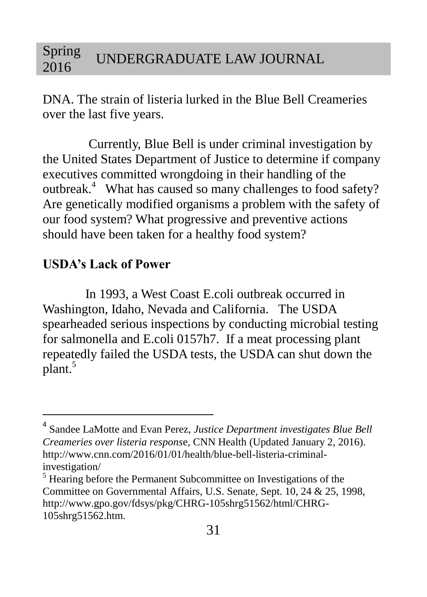DNA. The strain of listeria lurked in the Blue Bell Creameries over the last five years.

Currently, Blue Bell is under criminal investigation by the United States Department of Justice to determine if company executives committed wrongdoing in their handling of the outbreak.<sup>4</sup> What has caused so many challenges to food safety? Are genetically modified organisms a problem with the safety of our food system? What progressive and preventive actions should have been taken for a healthy food system?

### **USDA's Lack of Power**

 $\overline{a}$ 

In 1993, a West Coast E.coli outbreak occurred in Washington, Idaho, Nevada and California. The USDA spearheaded serious inspections by conducting microbial testing for salmonella and E.coli 0157h7. If a meat processing plant repeatedly failed the USDA tests, the USDA can shut down the plant.<sup>5</sup>

<sup>4</sup> Sandee LaMotte and Evan Perez, *Justice Department investigates Blue Bell Creameries over listeria respons*e, CNN Health (Updated January 2, 2016). http://www.cnn.com/2016/01/01/health/blue-bell-listeria-criminalinvestigation/

<sup>&</sup>lt;sup>5</sup> Hearing before the Permanent Subcommittee on Investigations of the Committee on Governmental Affairs, U.S. Senate, Sept. 10, 24 & 25, 1998, http://www.gpo.gov/fdsys/pkg/CHRG-105shrg51562/html/CHRG-105shrg51562.htm.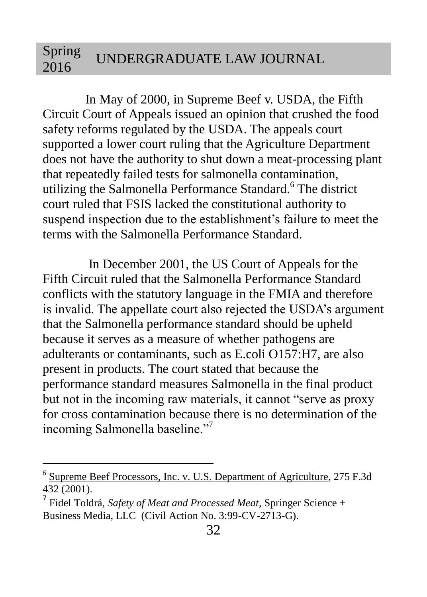In May of 2000, in Supreme Beef v. USDA, the Fifth Circuit Court of Appeals issued an opinion that crushed the food safety reforms regulated by the USDA. The appeals court supported a lower court ruling that the Agriculture Department does not have the authority to shut down a meat-processing plant that repeatedly failed tests for salmonella contamination, utilizing the Salmonella Performance Standard.<sup>6</sup> The district court ruled that FSIS lacked the constitutional authority to suspend inspection due to the establishment's failure to meet the terms with the Salmonella Performance Standard.

In December 2001, the US Court of Appeals for the Fifth Circuit ruled that the Salmonella Performance Standard conflicts with the statutory language in the FMIA and therefore is invalid. The appellate court also rejected the USDA's argument that the Salmonella performance standard should be upheld because it serves as a measure of whether pathogens are adulterants or contaminants, such as E.coli O157:H7, are also present in products. The court stated that because the performance standard measures Salmonella in the final product but not in the incoming raw materials, it cannot "serve as proxy for cross contamination because there is no determination of the incoming Salmonella baseline."<sup>7</sup>

*<sup>6</sup>* Supreme Beef Processors, Inc. v. U.S. Department of Agriculture, 275 F.3d  $432(2001)$ 

<sup>7</sup> Fidel Toldrá*, Safety of Meat and Processed Meat*, Springer Science + Business Media, LLC (Civil Action No. 3:99-CV-2713-G).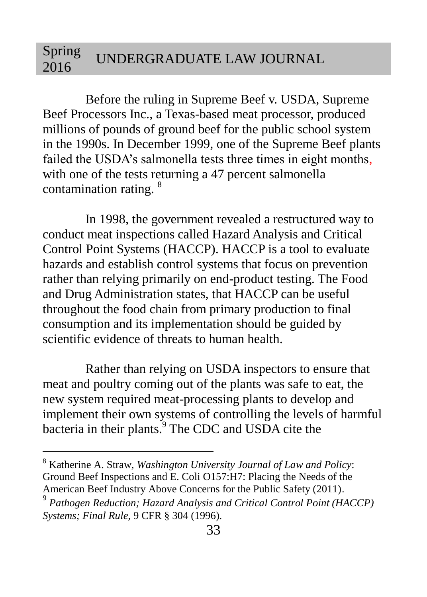Before the ruling in Supreme Beef v. USDA, Supreme Beef Processors Inc., a Texas-based meat processor, produced millions of pounds of ground beef for the public school system in the 1990s. In December 1999, one of the Supreme Beef plants failed the USDA's salmonella tests three times in eight months, with one of the tests returning a 47 percent salmonella contamination rating. <sup>8</sup>

In 1998, the government revealed a restructured way to conduct meat inspections called Hazard Analysis and Critical Control Point Systems (HACCP). HACCP is a tool to evaluate hazards and establish control systems that focus on prevention rather than relying primarily on end-product testing. The Food and Drug Administration states, that HACCP can be useful throughout the food chain from primary production to final consumption and its implementation should be guided by scientific evidence of threats to human health.

Rather than relying on USDA inspectors to ensure that meat and poultry coming out of the plants was safe to eat, the new system required meat-processing plants to develop and implement their own systems of controlling the levels of harmful bacteria in their plants.<sup>9</sup> The CDC and USDA cite the

<sup>8</sup> Katherine A. Straw, *Washington University Journal of Law and Policy*: Ground Beef Inspections and E. Coli O157:H7: Placing the Needs of the American Beef Industry Above Concerns for the Public Safety (2011).

<sup>&</sup>lt;sup>9</sup> Pathogen Reduction; Hazard Analysis and Critical Control Point (HACCP) *Systems; Final Rule,* 9 CFR § 304 (1996).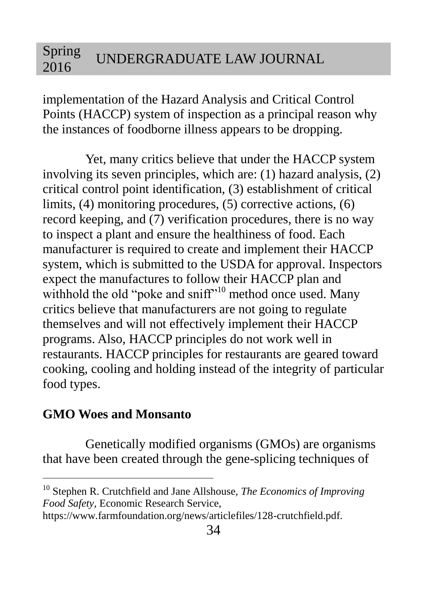implementation of the Hazard Analysis and Critical Control Points (HACCP) system of inspection as a principal reason why the instances of foodborne illness appears to be dropping.

Yet, many critics believe that under the HACCP system involving its seven principles, which are: (1) hazard analysis, (2) critical control point identification, (3) establishment of critical limits, (4) monitoring procedures, (5) corrective actions, (6) record keeping, and (7) verification procedures, there is no way to inspect a plant and ensure the healthiness of food. Each manufacturer is required to create and implement their HACCP system, which is submitted to the USDA for approval. Inspectors expect the manufactures to follow their HACCP plan and withhold the old "poke and sniff"<sup>10</sup> method once used. Many critics believe that manufacturers are not going to regulate themselves and will not effectively implement their HACCP programs. Also, HACCP principles do not work well in restaurants. HACCP principles for restaurants are geared toward cooking, cooling and holding instead of the integrity of particular food types.

### **GMO Woes and Monsanto**

 $\overline{a}$ 

Genetically modified organisms (GMOs) are organisms that have been created through the gene-splicing techniques of

<sup>10</sup> Stephen R. Crutchfield and Jane Allshouse, *The Economics of Improving Food Safety*, Economic Research Service,

https://www.farmfoundation.org/news/articlefiles/128-crutchfield.pdf.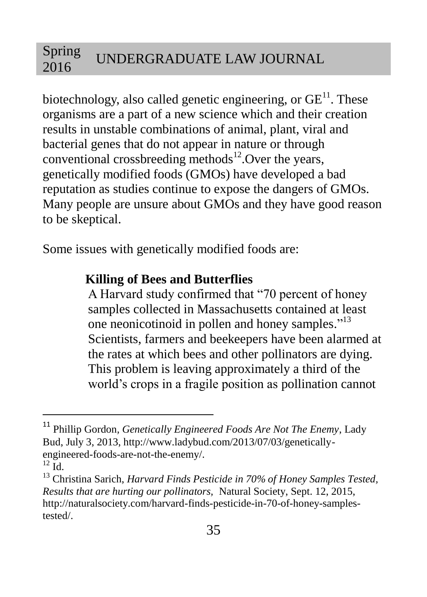biotechnology, also called genetic engineering, or  $GE<sup>11</sup>$ . These organisms are a part of a new science which and their creation results in unstable combinations of animal, plant, viral and bacterial genes that do not appear in nature or through conventional crossbreeding methods $^{12}$ . Over the years, genetically modified foods (GMOs) have developed a bad reputation as studies continue to expose the dangers of GMOs. Many people are unsure about GMOs and they have good reason to be skeptical.

Some issues with genetically modified foods are:

### **Killing of Bees and Butterflies**

A Harvard study confirmed that "70 percent of honey samples collected in Massachusetts contained at least one neonicotinoid in pollen and honey samples."<sup>13</sup> Scientists, farmers and beekeepers have been alarmed at the rates at which bees and other pollinators are dying. This problem is leaving approximately a third of the world's crops in a fragile position as pollination cannot

<sup>11</sup> Phillip Gordon*, Genetically Engineered Foods Are Not The Enemy*, Lady Bud, July 3, 2013, http://www.ladybud.com/2013/07/03/geneticallyengineered-foods-are-not-the-enemy/.

 $^{12}$  Id.

<sup>&</sup>lt;sup>13</sup> Christina Sarich, *Harvard Finds Pesticide in 70% of Honey Samples Tested*, *Results that are hurting our pollinators,* Natural Society, Sept. 12, 2015, http://naturalsociety.com/harvard-finds-pesticide-in-70-of-honey-samplestested/.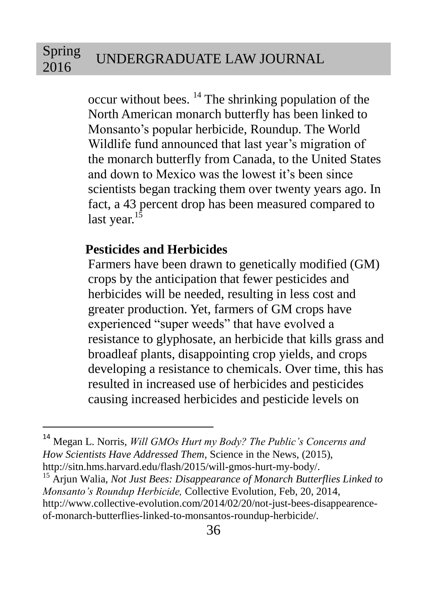occur without bees.  $^{14}$  The shrinking population of the North American monarch butterfly has been linked to Monsanto's popular herbicide, Roundup. The World Wildlife fund announced that last year's migration of the monarch butterfly from Canada, to the United States and down to Mexico was the lowest it's been since scientists began tracking them over twenty years ago. In fact, a 43 percent drop has been measured compared to last year.<sup>15</sup>

### **Pesticides and Herbicides**

 $\overline{a}$ 

Farmers have been drawn to genetically modified (GM) crops by the anticipation that fewer pesticides and herbicides will be needed, resulting in less cost and greater production. Yet, farmers of GM crops have experienced "super weeds" that have evolved a resistance to glyphosate, an herbicide that kills grass and broadleaf plants, disappointing crop yields, and crops developing a resistance to chemicals. Over time, this has resulted in increased use of herbicides and pesticides causing increased herbicides and pesticide levels on

<sup>14</sup> Megan L. Norris, *Will GMOs Hurt my Body? The Public's Concerns and How Scientists Have Addressed Them*, Science in the News, (2015), http://sitn.hms.harvard.edu/flash/2015/will-gmos-hurt-my-body/.

<sup>15</sup> Arjun Walia, *Not Just Bees: Disappearance of Monarch Butterflies Linked to Monsanto's Roundup Herbicide,* Collective Evolution*,* Feb, 20, 2014, http://www.collective-evolution.com/2014/02/20/not-just-bees-disappearenceof-monarch-butterflies-linked-to-monsantos-roundup-herbicide/.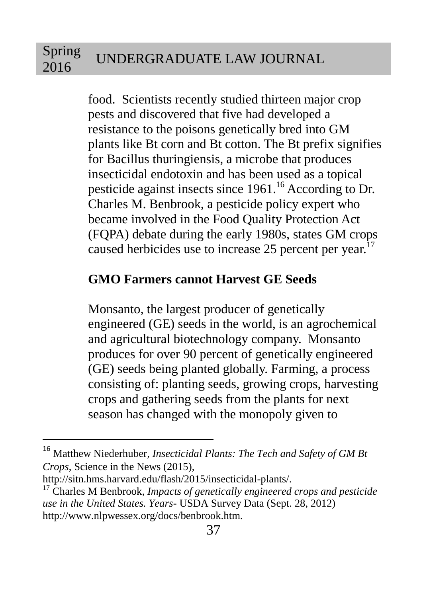food. Scientists recently studied thirteen major crop pests and discovered that five had developed a resistance to the poisons genetically bred into GM plants like Bt corn and Bt cotton. The Bt prefix signifies for Bacillus thuringiensis, a microbe that produces insecticidal endotoxin and has been used as a topical pesticide against insects since 1961.<sup>16</sup> According to Dr. Charles M. Benbrook, a pesticide policy expert who became involved in the Food Quality Protection Act (FQPA) debate during the early 1980s, states GM crops caused herbicides use to increase 25 percent per year.<sup>1</sup>

## **GMO Farmers cannot Harvest GE Seeds**

Monsanto, the largest producer of genetically engineered (GE) seeds in the world, is an agrochemical and agricultural biotechnology company. Monsanto produces for over 90 percent of genetically engineered (GE) seeds being planted globally. Farming, a process consisting of: planting seeds, growing crops, harvesting crops and gathering seeds from the plants for next season has changed with the monopoly given to

<sup>16</sup> Matthew Niederhuber*, Insecticidal Plants: The Tech and Safety of GM Bt Crops*, Science in the News (2015),

http://sitn.hms.harvard.edu/flash/2015/insecticidal-plants/.

<sup>17</sup> Charles M Benbrook*, Impacts of genetically engineered crops and pesticide use in the United States. Years*- USDA Survey Data (Sept. 28, 2012) http://www.nlpwessex.org/docs/benbrook.htm.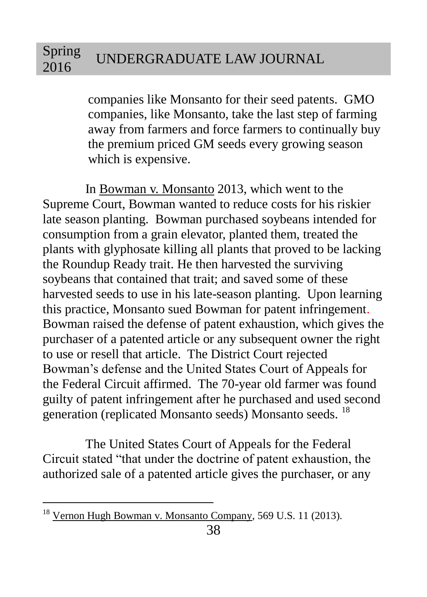companies like Monsanto for their seed patents. GMO companies, like Monsanto, take the last step of farming away from farmers and force farmers to continually buy the premium priced GM seeds every growing season which is expensive.

In Bowman v. Monsanto 2013, which went to the Supreme Court, Bowman wanted to reduce costs for his riskier late season planting. Bowman purchased soybeans intended for consumption from a grain elevator, planted them, treated the plants with glyphosate killing all plants that proved to be lacking the Roundup Ready trait. He then harvested the surviving soybeans that contained that trait; and saved some of these harvested seeds to use in his late-season planting. Upon learning this practice, Monsanto sued Bowman for patent infringement. Bowman raised the defense of patent exhaustion, which gives the purchaser of a patented article or any subsequent owner the right to use or resell that article. The District Court rejected Bowman's defense and the United States Court of Appeals for the Federal Circuit affirmed. The 70-year old farmer was found guilty of patent infringement after he purchased and used second generation (replicated Monsanto seeds) Monsanto seeds. <sup>18</sup>

The United States Court of Appeals for the Federal Circuit stated "that under the doctrine of patent exhaustion, the authorized sale of a patented article gives the purchaser, or any

<sup>&</sup>lt;sup>18</sup> Vernon Hugh Bowman v. Monsanto Company, 569 U.S. 11 (2013).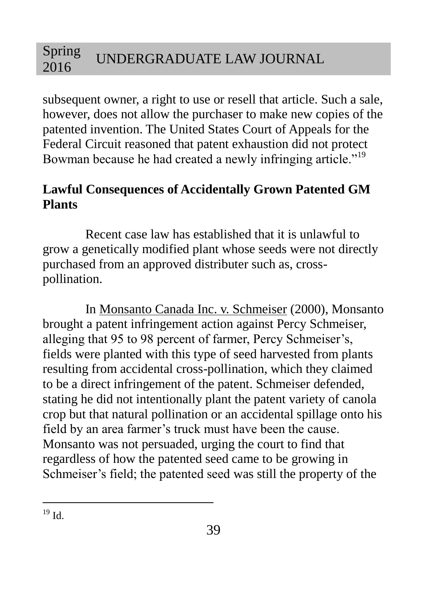subsequent owner, a right to use or resell that article. Such a sale, however, does not allow the purchaser to make new copies of the patented invention. The United States Court of Appeals for the Federal Circuit reasoned that patent exhaustion did not protect Bowman because he had created a newly infringing article."<sup>19</sup>

# **Lawful Consequences of Accidentally Grown Patented GM Plants**

Recent case law has established that it is unlawful to grow a genetically modified plant whose seeds were not directly purchased from an approved distributer such as, crosspollination.

In Monsanto Canada Inc. v. Schmeiser (2000), Monsanto brought a patent infringement action against Percy Schmeiser, alleging that 95 to 98 percent of farmer, Percy Schmeiser's, fields were planted with this type of seed harvested from plants resulting from accidental cross-pollination, which they claimed to be a direct infringement of the patent. Schmeiser defended, stating he did not intentionally plant the patent variety of canola crop but that natural pollination or an accidental spillage onto his field by an area farmer's truck must have been the cause. Monsanto was not persuaded, urging the court to find that regardless of how the patented seed came to be growing in Schmeiser's field; the patented seed was still the property of the

 $\overline{a}$  $19$  Id.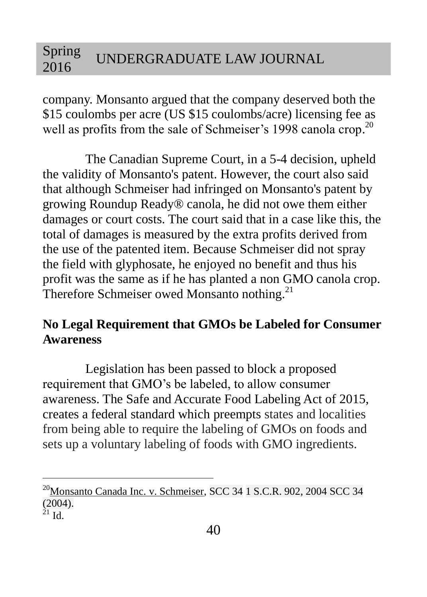company. Monsanto argued that the company deserved both the \$15 coulombs per acre (US \$15 coulombs/acre) licensing fee as well as profits from the sale of Schmeiser's 1998 canola crop.<sup>20</sup>

The Canadian Supreme Court, in a 5-4 decision, upheld the validity of Monsanto's patent. However, the court also said that although Schmeiser had infringed on Monsanto's patent by growing Roundup Ready® canola, he did not owe them either damages or court costs. The court said that in a case like this, the total of damages is measured by the extra profits derived from the use of the patented item. Because Schmeiser did not spray the field with glyphosate, he enjoyed no benefit and thus his profit was the same as if he has planted a non GMO canola crop. Therefore Schmeiser owed Monsanto nothing.<sup>21</sup>

# **No Legal Requirement that GMOs be Labeled for Consumer Awareness**

Legislation has been passed to block a proposed requirement that GMO's be labeled, to allow consumer awareness. The Safe and Accurate Food Labeling Act of 2015, creates a federal standard which preempts states and localities from being able to require the labeling of GMOs on foods and sets up a voluntary labeling of foods with GMO ingredients.

<sup>&</sup>lt;sup>20</sup>Monsanto Canada Inc. v. Schmeiser, SCC 34 1 S.C.R. 902, 2004 SCC 34 (2004).  $^{21}$  Id.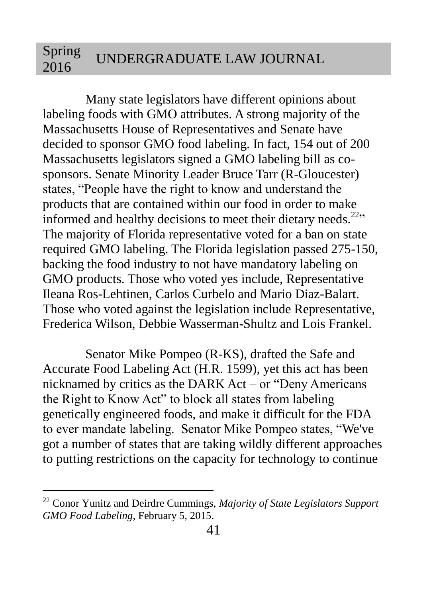Many state legislators have different opinions about labeling foods with GMO attributes. A strong majority of the Massachusetts House of Representatives and Senate have decided to sponsor GMO food labeling. In fact, 154 out of 200 Massachusetts legislators signed a GMO labeling bill as cosponsors. Senate Minority Leader Bruce Tarr (R-Gloucester) states, "People have the right to know and understand the products that are contained within our food in order to make informed and healthy decisions to meet their dietary needs.<sup>22,1</sup> The majority of Florida representative voted for a ban on state required GMO labeling. The Florida legislation passed 275-150, backing the food industry to not have mandatory labeling on GMO products. Those who voted yes include, Representative Ileana Ros-Lehtinen, Carlos Curbelo and Mario Diaz-Balart. Those who voted against the legislation include Representative, Frederica Wilson, Debbie Wasserman-Shultz and Lois Frankel.

Senator Mike Pompeo (R-KS), drafted the Safe and Accurate Food Labeling Act (H.R. 1599), yet this act has been nicknamed by critics as the DARK Act – or "Deny Americans the Right to Know Act" to block all states from labeling genetically engineered foods, and make it difficult for the FDA to ever mandate labeling. Senator Mike Pompeo states, "We've got a number of states that are taking wildly different approaches to putting restrictions on the capacity for technology to continue

<sup>22</sup> Conor Yunitz and Deirdre Cummings, *Majority of State Legislators Support GMO Food Labeling*, February 5, 2015.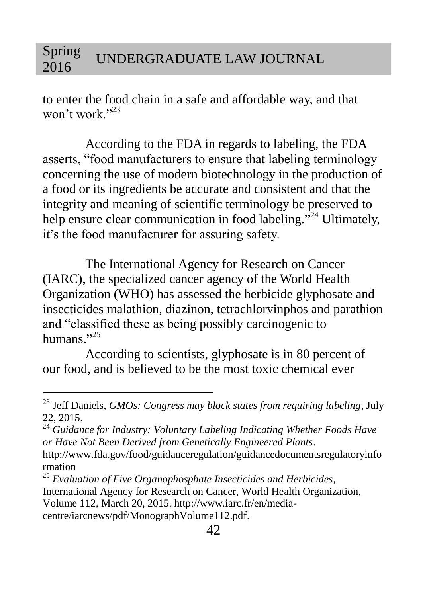to enter the food chain in a safe and affordable way, and that won't work."<sup>23</sup>

According to the FDA in regards to labeling, the FDA asserts, "food manufacturers to ensure that labeling terminology concerning the use of modern biotechnology in the production of a food or its ingredients be accurate and consistent and that the integrity and meaning of scientific terminology be preserved to help ensure clear communication in food labeling."<sup>24</sup> Ultimately, it's the food manufacturer for assuring safety.

The International Agency for Research on Cancer (IARC), the specialized cancer agency of the World Health Organization (WHO) has assessed the herbicide glyphosate and insecticides malathion, diazinon, tetrachlorvinphos and parathion and "classified these as being possibly carcinogenic to humans."<sup>25</sup>

According to scientists, glyphosate is in 80 percent of our food, and is believed to be the most toxic chemical ever

<sup>23</sup> Jeff Daniels, *GMOs: Congress may block states from requiring labeling*, July 22, 2015.

<sup>24</sup> *Guidance for Industry: Voluntary Labeling Indicating Whether Foods Have or Have Not Been Derived from Genetically Engineered Plants*.

http://www.fda.gov/food/guidanceregulation/guidancedocumentsregulatoryinfo rmation

<sup>25</sup> *Evaluation of Five Organophosphate Insecticides and Herbicides,* International Agency for Research on Cancer, World Health Organization, Volume 112, March 20, 2015. http://www.iarc.fr/en/mediacentre/iarcnews/pdf/MonographVolume112.pdf.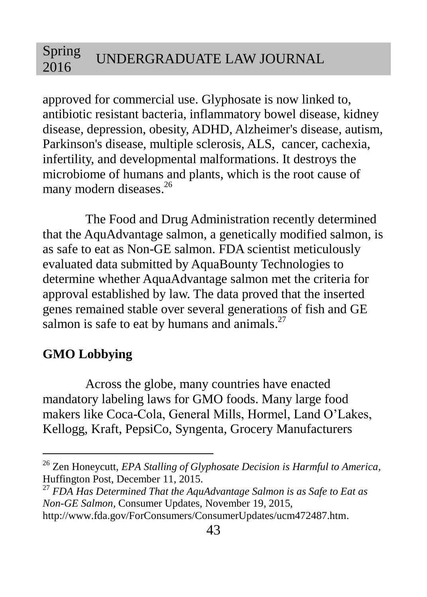approved for commercial use. Glyphosate is now linked to, antibiotic resistant bacteria, inflammatory bowel disease, kidney disease, depression, obesity, ADHD, Alzheimer's disease, autism, Parkinson's disease, multiple sclerosis, ALS, cancer, cachexia, infertility, and developmental malformations. It destroys the microbiome of humans and plants, which is the root cause of many modern diseases.<sup>26</sup>

The Food and Drug Administration recently determined that the AquAdvantage salmon, a genetically modified salmon, is as safe to eat as Non-GE salmon. FDA scientist meticulously evaluated data submitted by AquaBounty Technologies to determine whether AquaAdvantage salmon met the criteria for approval established by law. The data proved that the inserted genes remained stable over several generations of fish and GE salmon is safe to eat by humans and animals.<sup>27</sup>

## **GMO Lobbying**

 $\overline{a}$ 

Across the globe, many countries have enacted mandatory labeling laws for GMO foods. Many large food makers like Coca-Cola, General Mills, Hormel, Land O'Lakes, Kellogg, Kraft, PepsiCo, Syngenta, Grocery Manufacturers

<sup>26</sup> Zen Honeycutt, *EPA Stalling of Glyphosate Decision is Harmful to America*, Huffington Post, December 11, 2015.

<sup>27</sup> *FDA Has Determined That the AquAdvantage Salmon is as Safe to Eat as Non-GE Salmon*, Consumer Updates, November 19, 2015,

http://www.fda.gov/ForConsumers/ConsumerUpdates/ucm472487.htm.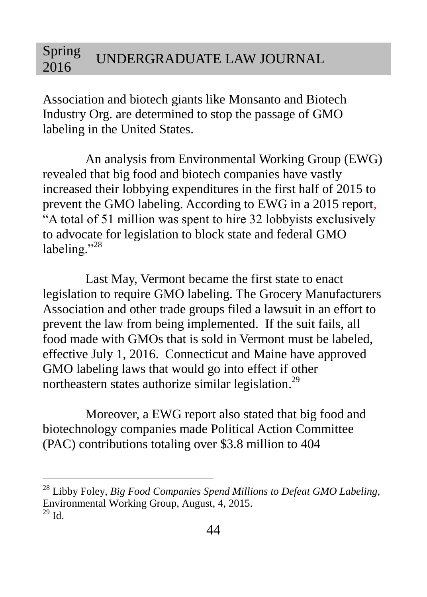Association and biotech giants like Monsanto and Biotech Industry Org. are determined to stop the passage of GMO labeling in the United States.

An analysis from Environmental Working Group (EWG) revealed that big food and biotech companies have vastly increased their lobbying expenditures in the first half of 2015 to prevent the GMO labeling. According to EWG in a 2015 report, "A total of 51 million was spent to hire 32 lobbyists exclusively to advocate for legislation to block state and federal GMO labeling."<sup>28</sup>

Last May, Vermont became the first state to enact legislation to require GMO labeling. The Grocery Manufacturers Association and other trade groups filed a lawsuit in an effort to prevent the law from being implemented. If the suit fails, all food made with GMOs that is sold in Vermont must be labeled, effective July 1, 2016. Connecticut and Maine have approved GMO labeling laws that would go into effect if other northeastern states authorize similar legislation.<sup>29</sup>

Moreover, a EWG report also stated that big food and biotechnology companies made Political Action Committee (PAC) contributions totaling over \$3.8 million to 404

<sup>28</sup> Libby Foley, *Big Food Companies Spend Millions to Defeat GMO Labeling,*  Environmental Working Group, August, 4, 2015.  $^{29}$  Id.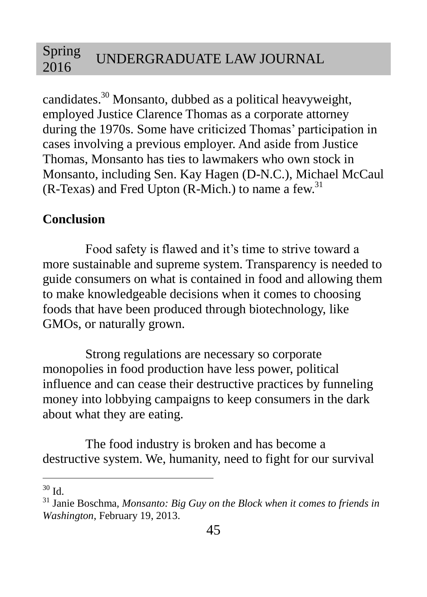candidates. <sup>30</sup> Monsanto, dubbed as a political heavyweight, employed Justice Clarence Thomas as a corporate attorney during the 1970s. Some have criticized Thomas' participation in cases involving a previous employer. And aside from Justice Thomas, Monsanto has ties to lawmakers who own stock in Monsanto, including Sen. Kay Hagen (D-N.C.), Michael McCaul (R-Texas) and Fred Upton (R-Mich.) to name a few. 31

## **Conclusion**

Food safety is flawed and it's time to strive toward a more sustainable and supreme system. Transparency is needed to guide consumers on what is contained in food and allowing them to make knowledgeable decisions when it comes to choosing foods that have been produced through biotechnology, like GMOs, or naturally grown.

Strong regulations are necessary so corporate monopolies in food production have less power, political influence and can cease their destructive practices by funneling money into lobbying campaigns to keep consumers in the dark about what they are eating.

The food industry is broken and has become a destructive system. We, humanity, need to fight for our survival

 $\overline{a}$  $30$  Id.

<sup>31</sup> Janie Boschma*, Monsanto: Big Guy on the Block when it comes to friends in Washington*, February 19, 2013.